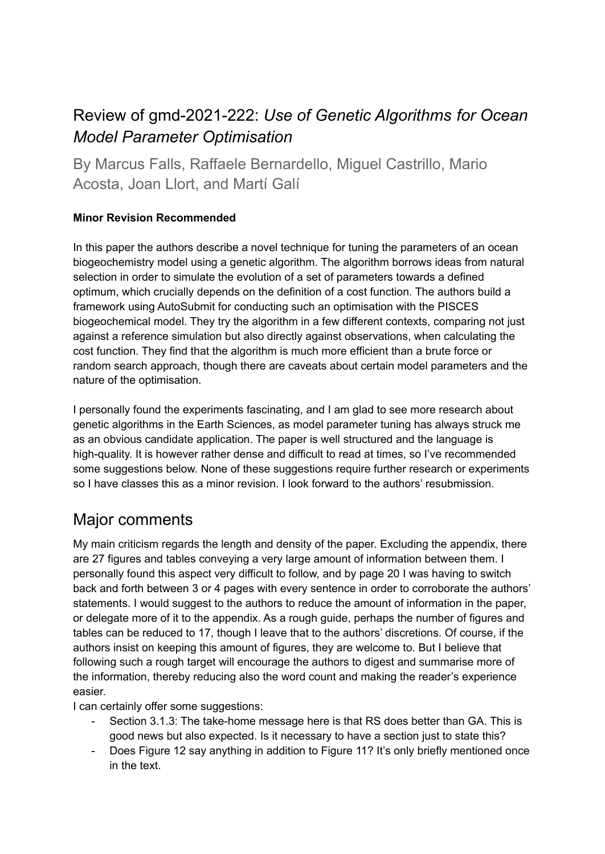## Review of gmd-2021-222: *Use of Genetic Algorithms for Ocean Model Parameter Optimisation*

By Marcus Falls, Raffaele Bernardello, Miguel Castrillo, Mario Acosta, Joan Llort, and Martí Galí

## **Minor Revision Recommended**

In this paper the authors describe a novel technique for tuning the parameters of an ocean biogeochemistry model using a genetic algorithm. The algorithm borrows ideas from natural selection in order to simulate the evolution of a set of parameters towards a defined optimum, which crucially depends on the definition of a cost function. The authors build a framework using AutoSubmit for conducting such an optimisation with the PISCES biogeochemical model. They try the algorithm in a few different contexts, comparing not just against a reference simulation but also directly against observations, when calculating the cost function. They find that the algorithm is much more efficient than a brute force or random search approach, though there are caveats about certain model parameters and the nature of the optimisation.

I personally found the experiments fascinating, and I am glad to see more research about genetic algorithms in the Earth Sciences, as model parameter tuning has always struck me as an obvious candidate application. The paper is well structured and the language is high-quality. It is however rather dense and difficult to read at times, so I've recommended some suggestions below. None of these suggestions require further research or experiments so I have classes this as a minor revision. I look forward to the authors' resubmission.

## Major comments

My main criticism regards the length and density of the paper. Excluding the appendix, there are 27 figures and tables conveying a very large amount of information between them. I personally found this aspect very difficult to follow, and by page 20 I was having to switch back and forth between 3 or 4 pages with every sentence in order to corroborate the authors' statements. I would suggest to the authors to reduce the amount of information in the paper, or delegate more of it to the appendix. As a rough guide, perhaps the number of figures and tables can be reduced to 17, though I leave that to the authors' discretions. Of course, if the authors insist on keeping this amount of figures, they are welcome to. But I believe that following such a rough target will encourage the authors to digest and summarise more of the information, thereby reducing also the word count and making the reader's experience easier.

I can certainly offer some suggestions:

- Section 3.1.3: The take-home message here is that RS does better than GA. This is good news but also expected. Is it necessary to have a section just to state this?
- Does Figure 12 say anything in addition to Figure 11? It's only briefly mentioned once in the text.